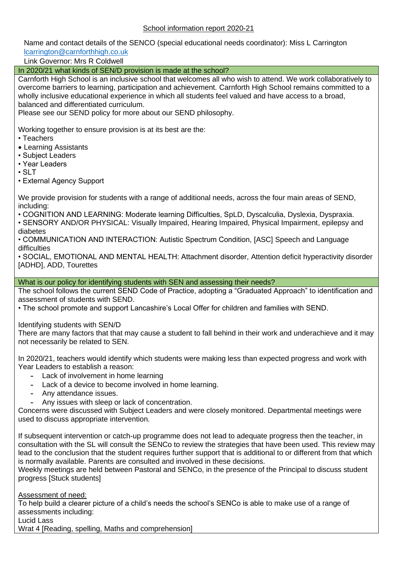Name and contact details of the SENCO (special educational needs coordinator): Miss L Carrington [lcarrington@carnforthhigh.co.uk](mailto:lcarrington@carnforthhigh.co.uk)

Link Governor: Mrs R Coldwell

In 2020/21 what kinds of SEN/D provision is made at the school?

Carnforth High School is an inclusive school that welcomes all who wish to attend. We work collaboratively to overcome barriers to learning, participation and achievement. Carnforth High School remains committed to a wholly inclusive educational experience in which all students feel valued and have access to a broad, balanced and differentiated curriculum.

Please see our SEND policy for more about our SEND philosophy.

Working together to ensure provision is at its best are the:

- Teachers
- Learning Assistants
- Subject Leaders
- Year Leaders
- $\cdot$  SLT
- External Agency Support

We provide provision for students with a range of additional needs, across the four main areas of SEND, including:

• COGNITION AND LEARNING: Moderate learning Difficulties, SpLD, Dyscalculia, Dyslexia, Dyspraxia.

• SENSORY AND/OR PHYSICAL: Visually Impaired, Hearing Impaired, Physical Impairment, epilepsy and diabetes

• COMMUNICATION AND INTERACTION: Autistic Spectrum Condition, [ASC] Speech and Language difficulties

• SOCIAL, EMOTIONAL AND MENTAL HEALTH: Attachment disorder, Attention deficit hyperactivity disorder [ADHD], ADD, Tourettes

### What is our policy for identifying students with SEN and assessing their needs?

The school follows the current SEND Code of Practice, adopting a "Graduated Approach" to identification and assessment of students with SEND.

• The school promote and support Lancashire's Local Offer for children and families with SEND.

Identifying students with SEN/D

There are many factors that that may cause a student to fall behind in their work and underachieve and it may not necessarily be related to SEN.

In 2020/21, teachers would identify which students were making less than expected progress and work with Year Leaders to establish a reason:

- Lack of involvement in home learning
- Lack of a device to become involved in home learning.
- Any attendance issues.
- Any issues with sleep or lack of concentration.

Concerns were discussed with Subject Leaders and were closely monitored. Departmental meetings were used to discuss appropriate intervention.

If subsequent intervention or catch-up programme does not lead to adequate progress then the teacher, in consultation with the SL will consult the SENCo to review the strategies that have been used. This review may lead to the conclusion that the student requires further support that is additional to or different from that which is normally available. Parents are consulted and involved in these decisions.

Weekly meetings are held between Pastoral and SENCo, in the presence of the Principal to discuss student progress [Stuck students]

Assessment of need:

To help build a clearer picture of a child's needs the school's SENCo is able to make use of a range of assessments including:

Lucid Lass

Wrat 4 [Reading, spelling, Maths and comprehension]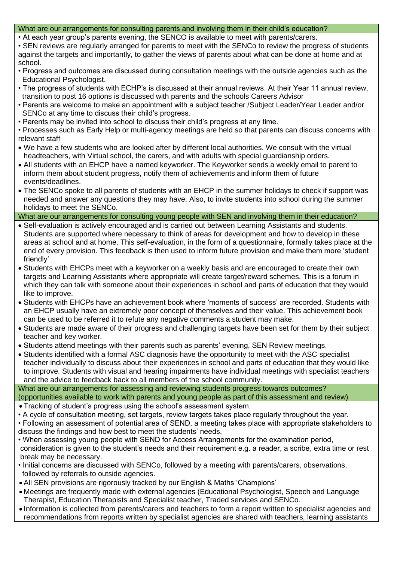### What are our arrangements for consulting parents and involving them in their child's education?

- At each year group's parents evening, the SENCO is available to meet with parents/carers.
- SEN reviews are regularly arranged for parents to meet with the SENCo to review the progress of students against the targets and importantly, to gather the views of parents about what can be done at home and at school.
- Progress and outcomes are discussed during consultation meetings with the outside agencies such as the Educational Psychologist.
- The progress of students with ECHP's is discussed at their annual reviews. At their Year 11 annual review, transition to post 16 options is discussed with parents and the schools Careers Advisor
- Parents are welcome to make an appointment with a subject teacher /Subject Leader/Year Leader and/or SENCo at any time to discuss their child's progress.
- Parents may be invited into school to discuss their child's progress at any time.
- Processes such as Early Help or multi-agency meetings are held so that parents can discuss concerns with relevant staff
- We have a few students who are looked after by different local authorities. We consult with the virtual headteachers, with Virtual school, the carers, and with adults with special guardianship orders.
- All students with an EHCP have a named keyworker. The Keyworker sends a weekly email to parent to inform them about student progress, notify them of achievements and inform them of future events/deadlines.
- The SENCo spoke to all parents of students with an EHCP in the summer holidays to check if support was needed and answer any questions they may have. Also, to invite students into school during the summer holidays to meet the SENCo.

## What are our arrangements for consulting young people with SEN and involving them in their education?

- Self-evaluation is actively encouraged and is carried out between Learning Assistants and students. Students are supported where necessary to think of areas for development and how to develop in these areas at school and at home. This self-evaluation, in the form of a questionnaire, formally takes place at the end of every provision. This feedback is then used to inform future provision and make them more 'student friendly'
- Students with EHCPs meet with a keyworker on a weekly basis and are encouraged to create their own targets and Learning Assistants where appropriate will create target/reward schemes. This is a forum in which they can talk with someone about their experiences in school and parts of education that they would like to improve.
- Students with EHCPs have an achievement book where 'moments of success' are recorded. Students with an EHCP usually have an extremely poor concept of themselves and their value. This achievement book can be used to be referred it to refute any negative comments a student may make.
- Students are made aware of their progress and challenging targets have been set for them by their subject teacher and key worker.
- Students attend meetings with their parents such as parents' evening, SEN Review meetings.
- Students identified with a formal ASC diagnosis have the opportunity to meet with the ASC specialist teacher individually to discuss about their experiences in school and parts of education that they would like to improve. Students with visual and hearing impairments have individual meetings with specialist teachers and the advice to feedback back to all members of the school community.

What are our arrangements for assessing and reviewing students progress towards outcomes? (opportunities available to work with parents and young people as part of this assessment and review)

- Tracking of student's progress using the school's assessment system.
- A cycle of consultation meeting, set targets, review targets takes place regularly throughout the year.

• Following an assessment of potential area of SEND, a meeting takes place with appropriate stakeholders to discuss the findings and how best to meet the students' needs.

- When assessing young people with SEND for Access Arrangements for the examination period, consideration is given to the student's needs and their requirement e.g. a reader, a scribe, extra time or rest break may be necessary.
- Initial concerns are discussed with SENCo, followed by a meeting with parents/carers, observations, followed by referrals to outside agencies.
- All SEN provisions are rigorously tracked by our English & Maths 'Champions'
- Meetings are frequently made with external agencies (Educational Psychologist, Speech and Language Therapist, Education Therapists and Specialist teacher, Traded services and SENCo.
- Information is collected from parents/carers and teachers to form a report written to specialist agencies and recommendations from reports written by specialist agencies are shared with teachers, learning assistants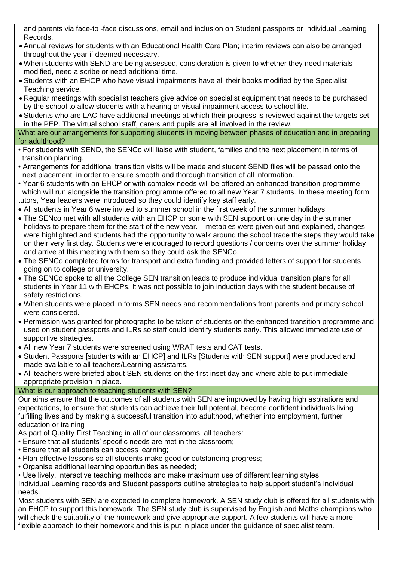and parents via face-to -face discussions, email and inclusion on Student passports or Individual Learning Records.

- Annual reviews for students with an Educational Health Care Plan; interim reviews can also be arranged throughout the year if deemed necessary.
- When students with SEND are being assessed, consideration is given to whether they need materials modified, need a scribe or need additional time.
- Students with an EHCP who have visual impairments have all their books modified by the Specialist Teaching service.
- Regular meetings with specialist teachers give advice on specialist equipment that needs to be purchased by the school to allow students with a hearing or visual impairment access to school life.
- Students who are LAC have additional meetings at which their progress is reviewed against the targets set in the PEP. The virtual school staff, carers and pupils are all involved in the review.

### What are our arrangements for supporting students in moving between phases of education and in preparing for adulthood?

- For students with SEND, the SENCo will liaise with student, families and the next placement in terms of transition planning.
- Arrangements for additional transition visits will be made and student SEND files will be passed onto the next placement, in order to ensure smooth and thorough transition of all information.
- Year 6 students with an EHCP or with complex needs will be offered an enhanced transition programme which will run alongside the transition programme offered to all new Year 7 students. In these meeting form tutors, Year leaders were introduced so they could identify key staff early.
- All students in Year 6 were invited to summer school in the first week of the summer holidays.
- The SENco met with all students with an EHCP or some with SEN support on one day in the summer holidays to prepare them for the start of the new year. Timetables were given out and explained, changes were highlighted and students had the opportunity to walk around the school trace the steps they would take on their very first day. Students were encouraged to record questions / concerns over the summer holiday and arrive at this meeting with them so they could ask the SENCo.
- The SENCo completed forms for transport and extra funding and provided letters of support for students going on to college or university.
- The SENCo spoke to all the College SEN transition leads to produce individual transition plans for all students in Year 11 with EHCPs. It was not possible to join induction days with the student because of safety restrictions.
- When students were placed in forms SEN needs and recommendations from parents and primary school were considered.
- Permission was granted for photographs to be taken of students on the enhanced transition programme and used on student passports and ILRs so staff could identify students early. This allowed immediate use of supportive strategies.
- All new Year 7 students were screened using WRAT tests and CAT tests.
- Student Passports [students with an EHCP] and ILRs [Students with SEN support] were produced and made available to all teachers/Learning assistants.
- All teachers were briefed about SEN students on the first inset day and where able to put immediate appropriate provision in place.

# What is our approach to teaching students with SEN?

Our aims ensure that the outcomes of all students with SEN are improved by having high aspirations and expectations, to ensure that students can achieve their full potential, become confident individuals living fulfilling lives and by making a successful transition into adulthood, whether into employment, further education or training

As part of Quality First Teaching in all of our classrooms, all teachers:

- Ensure that all students' specific needs are met in the classroom;
- Ensure that all students can access learning;
- Plan effective lessons so all students make good or outstanding progress;
- Organise additional learning opportunities as needed;

• Use lively, interactive teaching methods and make maximum use of different learning styles Individual Learning records and Student passports outline strategies to help support student's individual needs.

Most students with SEN are expected to complete homework. A SEN study club is offered for all students with an EHCP to support this homework. The SEN study club is supervised by English and Maths champions who will check the suitability of the homework and give appropriate support. A few students will have a more flexible approach to their homework and this is put in place under the guidance of specialist team.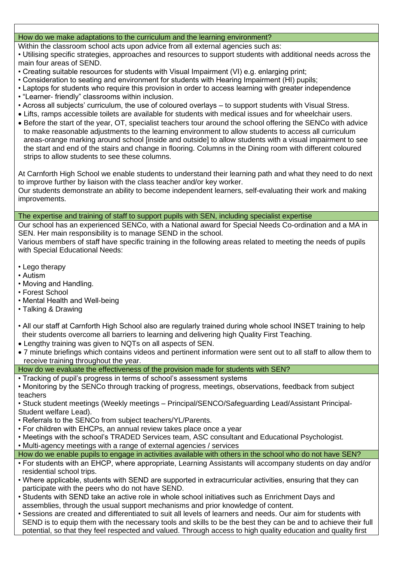## How do we make adaptations to the curriculum and the learning environment?

Within the classroom school acts upon advice from all external agencies such as:

• Utilising specific strategies, approaches and resources to support students with additional needs across the main four areas of SEND.

- Creating suitable resources for students with Visual Impairment (VI) e.g. enlarging print;
- Consideration to seating and environment for students with Hearing Impairment (HI) pupils;
- Laptops for students who require this provision in order to access learning with greater independence
- "Learner- friendly" classrooms within inclusion.
- Across all subjects' curriculum, the use of coloured overlays to support students with Visual Stress.
- Lifts, ramps accessible toilets are available for students with medical issues and for wheelchair users.
- Before the start of the year, OT, specialist teachers tour around the school offering the SENCo with advice to make reasonable adjustments to the learning environment to allow students to access all curriculum areas-orange marking around school [inside and outside] to allow students with a visual impairment to see the start and end of the stairs and change in flooring. Columns in the Dining room with different coloured strips to allow students to see these columns.

At Carnforth High School we enable students to understand their learning path and what they need to do next to improve further by liaison with the class teacher and/or key worker.

Our students demonstrate an ability to become independent learners, self-evaluating their work and making improvements.

The expertise and training of staff to support pupils with SEN, including specialist expertise

Our school has an experienced SENCo, with a National award for Special Needs Co-ordination and a MA in SEN. Her main responsibility is to manage SEND in the school.

Various members of staff have specific training in the following areas related to meeting the needs of pupils with Special Educational Needs:

- Lego therapy
- Autism
- Moving and Handling.
- Forest School
- Mental Health and Well-being
- Talking & Drawing
- All our staff at Carnforth High School also are regularly trained during whole school INSET training to help their students overcome all barriers to learning and delivering high Quality First Teaching.
- Lengthy training was given to NQTs on all aspects of SEN.
- 7 minute briefings which contains videos and pertinent information were sent out to all staff to allow them to receive training throughout the year.

How do we evaluate the effectiveness of the provision made for students with SEN?

- Tracking of pupil's progress in terms of school's assessment systems
- Monitoring by the SENCo through tracking of progress, meetings, observations, feedback from subject teachers

• Stuck student meetings (Weekly meetings – Principal/SENCO/Safeguarding Lead/Assistant Principal-Student welfare Lead).

- Referrals to the SENCo from subject teachers/YL/Parents.
- For children with EHCPs, an annual review takes place once a year
- Meetings with the school's TRADED Services team, ASC consultant and Educational Psychologist.
- Multi-agency meetings with a range of external agencies / services
- How do we enable pupils to engage in activities available with others in the school who do not have SEN?
- For students with an EHCP, where appropriate, Learning Assistants will accompany students on day and/or residential school trips.
- Where applicable, students with SEND are supported in extracurricular activities, ensuring that they can participate with the peers who do not have SEND.
- Students with SEND take an active role in whole school initiatives such as Enrichment Days and assemblies, through the usual support mechanisms and prior knowledge of content.
- Sessions are created and differentiated to suit all levels of learners and needs. Our aim for students with SEND is to equip them with the necessary tools and skills to be the best they can be and to achieve their full potential, so that they feel respected and valued. Through access to high quality education and quality first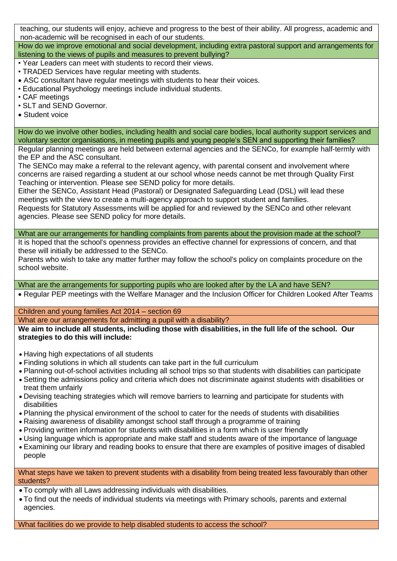teaching, our students will enjoy, achieve and progress to the best of their ability. All progress, academic and non-academic will be recognised in each of our students.

How do we improve emotional and social development, including extra pastoral support and arrangements for listening to the views of pupils and measures to prevent bullying?

• Year Leaders can meet with students to record their views.

- TRADED Services have regular meeting with students.
- ASC consultant have regular meetings with students to hear their voices.
- Educational Psychology meetings include individual students.
- CAF meetings
- SLT and SEND Governor.
- Student voice

How do we involve other bodies, including health and social care bodies, local authority support services and voluntary sector organisations, in meeting pupils and young people's SEN and supporting their families?

Regular planning meetings are held between external agencies and the SENCo, for example half-termly with the EP and the ASC consultant.

The SENCo may make a referral to the relevant agency, with parental consent and involvement where concerns are raised regarding a student at our school whose needs cannot be met through Quality First Teaching or intervention. Please see SEND policy for more details.

Either the SENCo, Assistant Head (Pastoral) or Designated Safeguarding Lead (DSL) will lead these meetings with the view to create a multi-agency approach to support student and families.

Requests for Statutory Assessments will be applied for and reviewed by the SENCo and other relevant agencies. Please see SEND policy for more details.

What are our arrangements for handling complaints from parents about the provision made at the school?

It is hoped that the school's openness provides an effective channel for expressions of concern, and that these will initially be addressed to the SENCo.

Parents who wish to take any matter further may follow the school's policy on complaints procedure on the school website.

What are the arrangements for supporting pupils who are looked after by the LA and have SEN?

• Regular PEP meetings with the Welfare Manager and the Inclusion Officer for Children Looked After Teams

Children and young families Act 2014 – section 69

What are our arrangements for admitting a pupil with a disability?

We aim to include all students, including those with disabilities, in the full life of the school. Our **strategies to do this will include:**

- Having high expectations of all students
- Finding solutions in which all students can take part in the full curriculum
- Planning out-of-school activities including all school trips so that students with disabilities can participate
- Setting the admissions policy and criteria which does not discriminate against students with disabilities or treat them unfairly
- Devising teaching strategies which will remove barriers to learning and participate for students with disabilities
- Planning the physical environment of the school to cater for the needs of students with disabilities
- Raising awareness of disability amongst school staff through a programme of training
- Providing written information for students with disabilities in a form which is user friendly
- Using language which is appropriate and make staff and students aware of the importance of language
- Examining our library and reading books to ensure that there are examples of positive images of disabled people

What steps have we taken to prevent students with a disability from being treated less favourably than other students?

- To comply with all Laws addressing individuals with disabilities.
- To find out the needs of individual students via meetings with Primary schools, parents and external agencies.

What facilities do we provide to help disabled students to access the school?